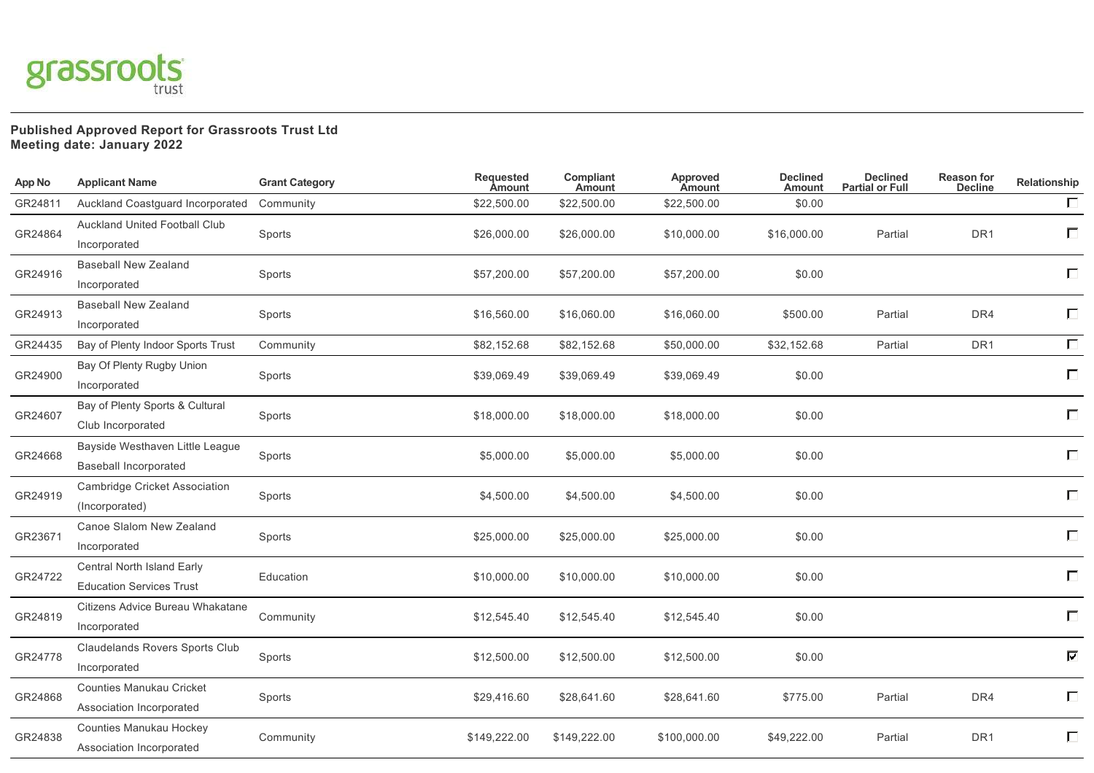

## **Published Approved Report for Grassroots Trust Ltd Meeting date: January 2022**

| <b>App No</b> | <b>Applicant Name</b>                                           | <b>Grant Category</b> | Requested<br><b>Amount</b> | Compliant<br>Amount | <b>Approved</b><br>Amount | <b>Declined</b><br><b>Amount</b> | <b>Declined</b><br><b>Partial or Full</b> | <b>Reason for</b><br><b>Decline</b> | Relationship |
|---------------|-----------------------------------------------------------------|-----------------------|----------------------------|---------------------|---------------------------|----------------------------------|-------------------------------------------|-------------------------------------|--------------|
| GR24811       | Auckland Coastguard Incorporated                                | Community             | \$22,500.00                | \$22,500.00         | \$22,500.00               | \$0.00                           |                                           |                                     | $\Box$       |
| GR24864       | Auckland United Football Club<br>Incorporated                   | Sports                | \$26,000.00                | \$26,000.00         | \$10,000.00               | \$16,000.00                      | Partial                                   | DR <sub>1</sub>                     | $\Box$       |
| GR24916       | <b>Baseball New Zealand</b><br>Incorporated                     | Sports                | \$57,200.00                | \$57,200.00         | \$57,200.00               | \$0.00                           |                                           |                                     | $\Box$       |
| GR24913       | <b>Baseball New Zealand</b><br>Incorporated                     | Sports                | \$16,560.00                | \$16,060.00         | \$16,060.00               | \$500.00                         | Partial                                   | DR4                                 | Г            |
| GR24435       | Bay of Plenty Indoor Sports Trust                               | Community             | \$82,152.68                | \$82,152.68         | \$50,000.00               | \$32,152.68                      | Partial                                   | DR <sub>1</sub>                     | $\Box$       |
| GR24900       | Bay Of Plenty Rugby Union<br>Incorporated                       | Sports                | \$39,069.49                | \$39,069.49         | \$39,069.49               | \$0.00                           |                                           |                                     | $\Box$       |
| GR24607       | Bay of Plenty Sports & Cultural<br>Club Incorporated            | Sports                | \$18,000.00                | \$18,000.00         | \$18,000.00               | \$0.00                           |                                           |                                     | $\Box$       |
| GR24668       | Bayside Westhaven Little League<br><b>Baseball Incorporated</b> | Sports                | \$5,000.00                 | \$5,000.00          | \$5,000.00                | \$0.00                           |                                           |                                     | П            |
| GR24919       | Cambridge Cricket Association<br>(Incorporated)                 | Sports                | \$4,500.00                 | \$4,500.00          | \$4,500.00                | \$0.00                           |                                           |                                     | П            |
| GR23671       | Canoe Slalom New Zealand<br>Incorporated                        | Sports                | \$25,000.00                | \$25,000.00         | \$25,000.00               | \$0.00                           |                                           |                                     | $\Box$       |
| GR24722       | Central North Island Early<br><b>Education Services Trust</b>   | Education             | \$10,000.00                | \$10,000.00         | \$10,000.00               | \$0.00                           |                                           |                                     | П            |
| GR24819       | Citizens Advice Bureau Whakatane<br>Incorporated                | Community             | \$12,545.40                | \$12,545.40         | \$12,545.40               | \$0.00                           |                                           |                                     | П            |
| GR24778       | Claudelands Rovers Sports Club<br>Incorporated                  | Sports                | \$12,500.00                | \$12,500.00         | \$12,500.00               | \$0.00                           |                                           |                                     | ☑            |
| GR24868       | Counties Manukau Cricket<br>Association Incorporated            | Sports                | \$29,416.60                | \$28,641.60         | \$28,641.60               | \$775.00                         | Partial                                   | DR4                                 | Г            |
| GR24838       | Counties Manukau Hockey<br>Association Incorporated             | Community             | \$149,222.00               | \$149,222.00        | \$100,000.00              | \$49,222.00                      | Partial                                   | DR <sub>1</sub>                     | Г            |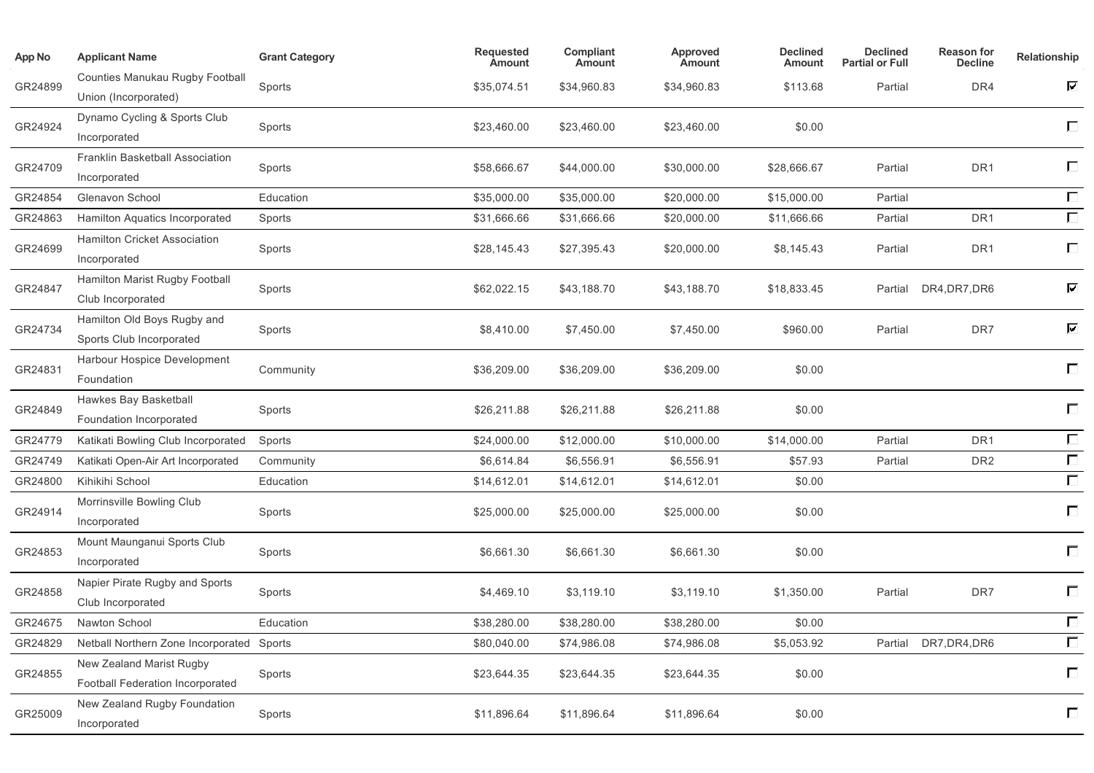| App No  | <b>Applicant Name</b>                                        | <b>Grant Category</b> | <b>Requested</b><br><b>Amount</b> | Compliant<br><b>Amount</b> | Approved<br><b>Amount</b> | <b>Declined</b><br>Amount | <b>Declined</b><br><b>Partial or Full</b> | <b>Reason for</b><br><b>Decline</b> | Relationship             |
|---------|--------------------------------------------------------------|-----------------------|-----------------------------------|----------------------------|---------------------------|---------------------------|-------------------------------------------|-------------------------------------|--------------------------|
| GR24899 | Counties Manukau Rugby Football<br>Union (Incorporated)      | Sports                | \$35,074.51                       | \$34,960.83                | \$34,960.83               | \$113.68                  | Partial                                   | DR4                                 | $\overline{\phantom{0}}$ |
| GR24924 | Dynamo Cycling & Sports Club<br>Incorporated                 | Sports                | \$23,460.00                       | \$23,460.00                | \$23,460.00               | \$0.00                    |                                           |                                     | П                        |
| GR24709 | Franklin Basketball Association<br>Incorporated              | Sports                | \$58,666.67                       | \$44,000.00                | \$30,000.00               | \$28,666.67               | Partial                                   | DR1                                 | П                        |
| GR24854 | Glenavon School                                              | Education             | \$35,000.00                       | \$35,000.00                | \$20,000.00               | \$15,000.00               | Partial                                   |                                     | $\Box$                   |
| GR24863 | Hamilton Aquatics Incorporated                               | Sports                | \$31,666.66                       | \$31,666.66                | \$20,000.00               | \$11,666.66               | Partial                                   | DR1                                 | П                        |
| GR24699 | Hamilton Cricket Association<br>Incorporated                 | Sports                | \$28,145.43                       | \$27,395.43                | \$20,000.00               | \$8,145.43                | Partial                                   | DR <sub>1</sub>                     | $\Box$                   |
| GR24847 | Hamilton Marist Rugby Football<br>Club Incorporated          | Sports                | \$62,022.15                       | \$43,188.70                | \$43,188.70               | \$18,833.45               | Partial                                   | DR4, DR7, DR6                       | ☑                        |
| GR24734 | Hamilton Old Boys Rugby and<br>Sports Club Incorporated      | Sports                | \$8.410.00                        | \$7,450.00                 | \$7,450.00                | \$960.00                  | Partial                                   | DR7                                 | ☑                        |
| GR24831 | Harbour Hospice Development<br>Foundation                    | Community             | \$36,209.00                       | \$36,209.00                | \$36,209.00               | \$0.00                    |                                           |                                     | $\Box$                   |
| GR24849 | Hawkes Bay Basketball<br>Foundation Incorporated             | Sports                | \$26,211.88                       | \$26,211.88                | \$26,211.88               | \$0.00                    |                                           |                                     | $\Box$                   |
| GR24779 | Katikati Bowling Club Incorporated                           | Sports                | \$24,000.00                       | \$12,000.00                | \$10,000.00               | \$14,000.00               | Partial                                   | DR <sub>1</sub>                     | $\Box$                   |
| GR24749 | Katikati Open-Air Art Incorporated                           | Community             | \$6,614.84                        | \$6,556.91                 | \$6,556.91                | \$57.93                   | Partial                                   | DR <sub>2</sub>                     | $\Box$                   |
| GR24800 | Kihikihi School                                              | Education             | \$14,612.01                       | \$14,612.01                | \$14,612.01               | \$0.00                    |                                           |                                     | $\Box$                   |
| GR24914 | Morrinsville Bowling Club<br>Incorporated                    | Sports                | \$25,000.00                       | \$25,000.00                | \$25,000.00               | \$0.00                    |                                           |                                     | $\Box$                   |
| GR24853 | Mount Maunganui Sports Club<br>Incorporated                  | Sports                | \$6,661.30                        | \$6,661.30                 | \$6,661.30                | \$0.00                    |                                           |                                     | $\Box$                   |
| GR24858 | Napier Pirate Rugby and Sports<br>Club Incorporated          | Sports                | \$4,469.10                        | \$3,119.10                 | \$3,119.10                | \$1,350.00                | Partial                                   | DR7                                 | $\Box$                   |
| GR24675 | Nawton School                                                | Education             | \$38,280.00                       | \$38,280.00                | \$38,280.00               | \$0.00                    |                                           |                                     | $\Box$                   |
| GR24829 | Netball Northern Zone Incorporated Sports                    |                       | \$80,040.00                       | \$74,986.08                | \$74,986.08               | \$5,053.92                | Partial                                   | DR7, DR4, DR6                       | $\Box$                   |
| GR24855 | New Zealand Marist Rugby<br>Football Federation Incorporated | Sports                | \$23,644.35                       | \$23,644.35                | \$23,644.35               | \$0.00                    |                                           |                                     | $\Box$                   |
| GR25009 | New Zealand Rugby Foundation<br>Incorporated                 | Sports                | \$11,896.64                       | \$11,896.64                | \$11,896.64               | \$0.00                    |                                           |                                     | $\Box$                   |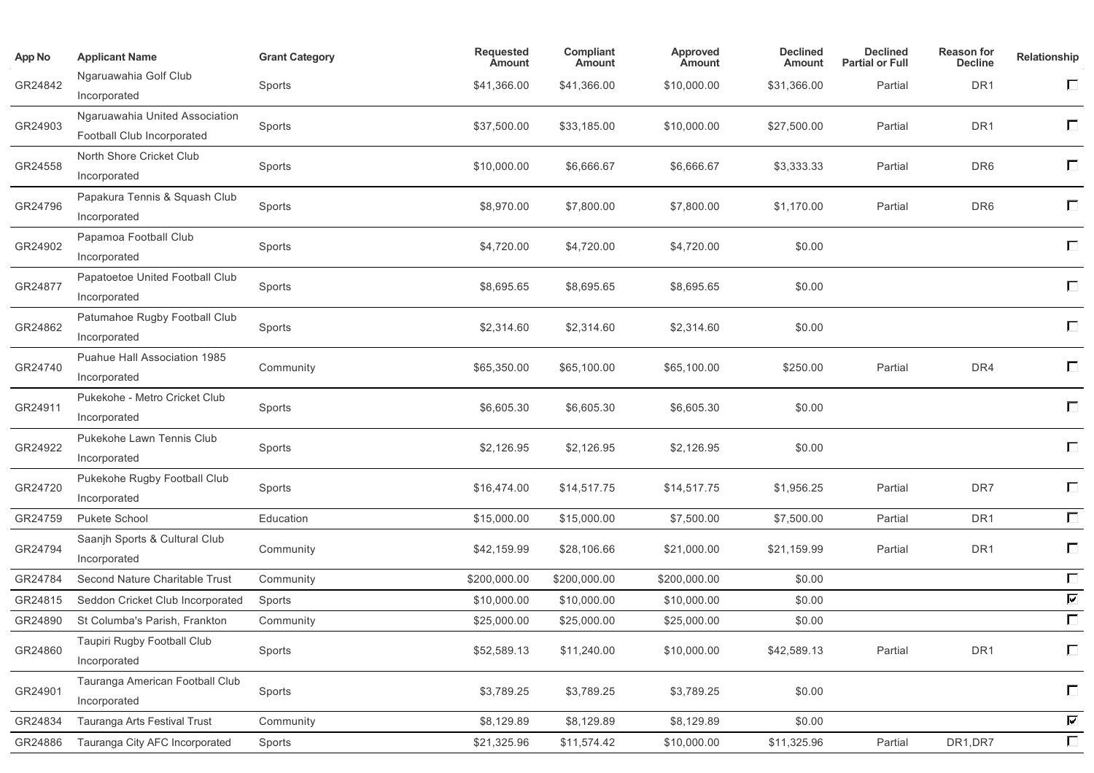| <b>App No</b> | <b>Applicant Name</b>                                        | <b>Grant Category</b> | Requested<br><b>Amount</b> | Compliant<br><b>Amount</b> | Approved<br><b>Amount</b> | <b>Declined</b><br>Amount | <b>Declined</b><br><b>Partial or Full</b> | Reason for<br><b>Decline</b> | Relationship             |
|---------------|--------------------------------------------------------------|-----------------------|----------------------------|----------------------------|---------------------------|---------------------------|-------------------------------------------|------------------------------|--------------------------|
| GR24842       | Ngaruawahia Golf Club<br>Incorporated                        | Sports                | \$41,366.00                | \$41,366.00                | \$10,000.00               | \$31,366.00               | Partial                                   | DR <sub>1</sub>              | $\Box$                   |
| GR24903       | Ngaruawahia United Association<br>Football Club Incorporated | Sports                | \$37,500.00                | \$33,185.00                | \$10,000.00               | \$27,500.00               | Partial                                   | DR <sub>1</sub>              | $\Box$                   |
| GR24558       | North Shore Cricket Club<br>Incorporated                     | Sports                | \$10,000.00                | \$6,666.67                 | \$6,666.67                | \$3,333.33                | Partial                                   | DR <sub>6</sub>              | $\Box$                   |
| GR24796       | Papakura Tennis & Squash Club<br>Incorporated                | Sports                | \$8,970.00                 | \$7,800.00                 | \$7,800.00                | \$1,170.00                | Partial                                   | DR <sub>6</sub>              | $\Box$                   |
| GR24902       | Papamoa Football Club<br>Incorporated                        | Sports                | \$4,720.00                 | \$4,720.00                 | \$4,720.00                | \$0.00                    |                                           |                              | $\Box$                   |
| GR24877       | Papatoetoe United Football Club<br>Incorporated              | Sports                | \$8,695.65                 | \$8,695.65                 | \$8,695.65                | \$0.00                    |                                           |                              | П                        |
| GR24862       | Patumahoe Rugby Football Club<br>Incorporated                | Sports                | \$2,314.60                 | \$2,314.60                 | \$2,314.60                | \$0.00                    |                                           |                              | $\Box$                   |
| GR24740       | Puahue Hall Association 1985<br>Incorporated                 | Community             | \$65,350.00                | \$65,100.00                | \$65,100.00               | \$250.00                  | Partial                                   | DR4                          | $\Box$                   |
| GR24911       | Pukekohe - Metro Cricket Club<br>Incorporated                | Sports                | \$6,605.30                 | \$6,605.30                 | \$6,605.30                | \$0.00                    |                                           |                              | $\Box$                   |
| GR24922       | Pukekohe Lawn Tennis Club<br>Incorporated                    | Sports                | \$2,126.95                 | \$2,126.95                 | \$2,126.95                | \$0.00                    |                                           |                              | $\Box$                   |
| GR24720       | Pukekohe Rugby Football Club<br>Incorporated                 | Sports                | \$16,474.00                | \$14,517.75                | \$14,517.75               | \$1,956.25                | Partial                                   | DR7                          | $\Box$                   |
| GR24759       | Pukete School                                                | Education             | \$15,000.00                | \$15,000.00                | \$7,500.00                | \$7,500.00                | Partial                                   | DR <sub>1</sub>              | $\Box$                   |
| GR24794       | Saanjh Sports & Cultural Club<br>Incorporated                | Community             | \$42,159.99                | \$28,106.66                | \$21,000.00               | \$21,159.99               | Partial                                   | DR <sub>1</sub>              | $\Box$                   |
| GR24784       | Second Nature Charitable Trust                               | Community             | \$200,000.00               | \$200,000.00               | \$200,000.00              | \$0.00                    |                                           |                              | $\Box$                   |
| GR24815       | Seddon Cricket Club Incorporated                             | Sports                | \$10,000.00                | \$10,000.00                | \$10,000.00               | \$0.00                    |                                           |                              | $\overline{\mathbf{v}}$  |
| GR24890       | St Columba's Parish, Frankton                                | Community             | \$25,000.00                | \$25,000.00                | \$25,000.00               | \$0.00                    |                                           |                              | $\Box$                   |
| GR24860       | Taupiri Rugby Football Club<br>Incorporated                  | Sports                | \$52,589.13                | \$11,240.00                | \$10,000.00               | \$42,589.13               | Partial                                   | DR <sub>1</sub>              | $\Box$                   |
| GR24901       | Tauranga American Football Club<br>Incorporated              | Sports                | \$3,789.25                 | \$3,789.25                 | \$3,789.25                | \$0.00                    |                                           |                              | $\Box$                   |
| GR24834       | Tauranga Arts Festival Trust                                 | Community             | \$8,129.89                 | \$8,129.89                 | \$8,129.89                | \$0.00                    |                                           |                              | $\overline{\phantom{1}}$ |
| GR24886       | Tauranga City AFC Incorporated                               | Sports                | \$21,325.96                | \$11,574.42                | \$10,000.00               | \$11,325.96               | Partial                                   | DR1, DR7                     | $\Box$                   |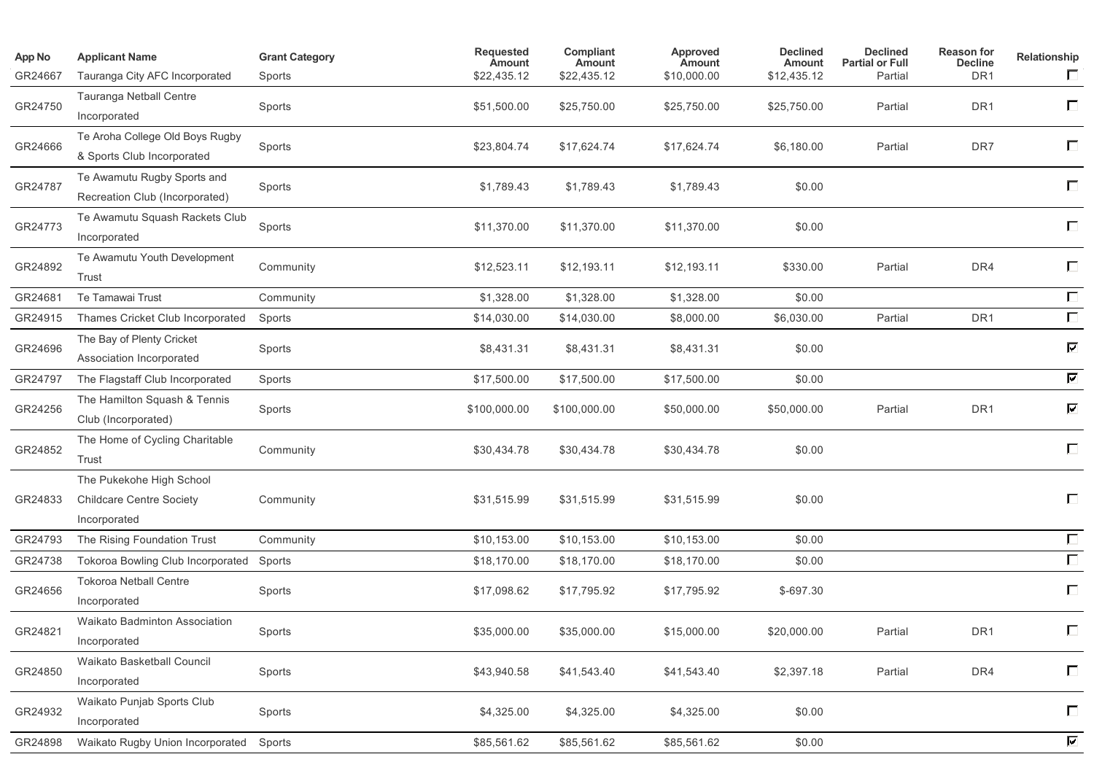| App No  | <b>Applicant Name</b>                                                       | <b>Grant Category</b> | Requested<br><b>Amount</b> | Compliant<br><b>Amount</b> | Approved<br>Amount | <b>Declined</b><br>Amount | <b>Declined</b><br><b>Partial or Full</b> | <b>Reason for</b><br><b>Decline</b> | Relationship             |
|---------|-----------------------------------------------------------------------------|-----------------------|----------------------------|----------------------------|--------------------|---------------------------|-------------------------------------------|-------------------------------------|--------------------------|
| GR24667 | Tauranga City AFC Incorporated                                              | Sports                | \$22,435.12                | \$22,435.12                | \$10,000.00        | \$12,435.12               | Partial                                   | DR <sub>1</sub>                     | $\Box$                   |
| GR24750 | Tauranga Netball Centre<br>Incorporated                                     | Sports                | \$51,500.00                | \$25,750.00                | \$25,750.00        | \$25,750.00               | Partial                                   | DR <sub>1</sub>                     | П                        |
| GR24666 | Te Aroha College Old Boys Rugby<br>& Sports Club Incorporated               | Sports                | \$23,804.74                | \$17,624.74                | \$17,624.74        | \$6,180.00                | Partial                                   | DR7                                 | $\Box$                   |
| GR24787 | Te Awamutu Rugby Sports and<br>Recreation Club (Incorporated)               | Sports                | \$1,789.43                 | \$1,789.43                 | \$1,789.43         | \$0.00                    |                                           |                                     | П                        |
| GR24773 | Te Awamutu Squash Rackets Club<br>Incorporated                              | Sports                | \$11,370.00                | \$11,370.00                | \$11,370.00        | \$0.00                    |                                           |                                     | $\Box$                   |
| GR24892 | Te Awamutu Youth Development<br>Trust                                       | Community             | \$12,523.11                | \$12,193.11                | \$12,193.11        | \$330.00                  | Partial                                   | DR4                                 | П                        |
| GR24681 | Te Tamawai Trust                                                            | Community             | \$1,328.00                 | \$1,328.00                 | \$1,328.00         | \$0.00                    |                                           |                                     | $\Box$                   |
| GR24915 | Thames Cricket Club Incorporated                                            | Sports                | \$14,030.00                | \$14,030.00                | \$8,000.00         | \$6,030.00                | Partial                                   | DR1                                 | $\Box$                   |
| GR24696 | The Bay of Plenty Cricket<br>Association Incorporated                       | Sports                | \$8,431.31                 | \$8,431.31                 | \$8,431.31         | \$0.00                    |                                           |                                     | $\overline{\phantom{0}}$ |
| GR24797 | The Flagstaff Club Incorporated                                             | Sports                | \$17,500.00                | \$17,500.00                | \$17,500.00        | \$0.00                    |                                           |                                     | $\overline{\mathbf{v}}$  |
| GR24256 | The Hamilton Squash & Tennis<br>Club (Incorporated)                         | Sports                | \$100,000.00               | \$100,000.00               | \$50,000.00        | \$50,000.00               | Partial                                   | DR1                                 | ☑                        |
| GR24852 | The Home of Cycling Charitable<br>Trust                                     | Community             | \$30,434.78                | \$30,434.78                | \$30,434.78        | \$0.00                    |                                           |                                     | $\Box$                   |
| GR24833 | The Pukekohe High School<br><b>Childcare Centre Society</b><br>Incorporated | Community             | \$31,515.99                | \$31,515.99                | \$31,515.99        | \$0.00                    |                                           |                                     | $\Box$                   |
| GR24793 | The Rising Foundation Trust                                                 | Community             | \$10,153.00                | \$10,153.00                | \$10,153.00        | \$0.00                    |                                           |                                     | $\Box$                   |
| GR24738 | <b>Tokoroa Bowling Club Incorporated</b>                                    | Sports                | \$18,170.00                | \$18,170.00                | \$18,170.00        | \$0.00                    |                                           |                                     | $\Box$                   |
| GR24656 | <b>Tokoroa Netball Centre</b><br>Incorporated                               | Sports                | \$17,098.62                | \$17,795.92                | \$17,795.92        | \$-697.30                 |                                           |                                     | $\Box$                   |
| GR24821 | Waikato Badminton Association<br>Incorporated                               | Sports                | \$35,000.00                | \$35,000.00                | \$15,000.00        | \$20,000.00               | Partial                                   | DR <sub>1</sub>                     |                          |
| GR24850 | Waikato Basketball Council<br>Incorporated                                  | Sports                | \$43,940.58                | \$41,543.40                | \$41,543.40        | \$2,397.18                | Partial                                   | DR4                                 | $\Box$                   |
| GR24932 | Waikato Punjab Sports Club<br>Incorporated                                  | Sports                | \$4,325.00                 | \$4,325.00                 | \$4,325.00         | \$0.00                    |                                           |                                     | $\Box$                   |
| GR24898 | Waikato Rugby Union Incorporated                                            | Sports                | \$85,561.62                | \$85,561.62                | \$85,561.62        | \$0.00                    |                                           |                                     | $\overline{\phantom{a}}$ |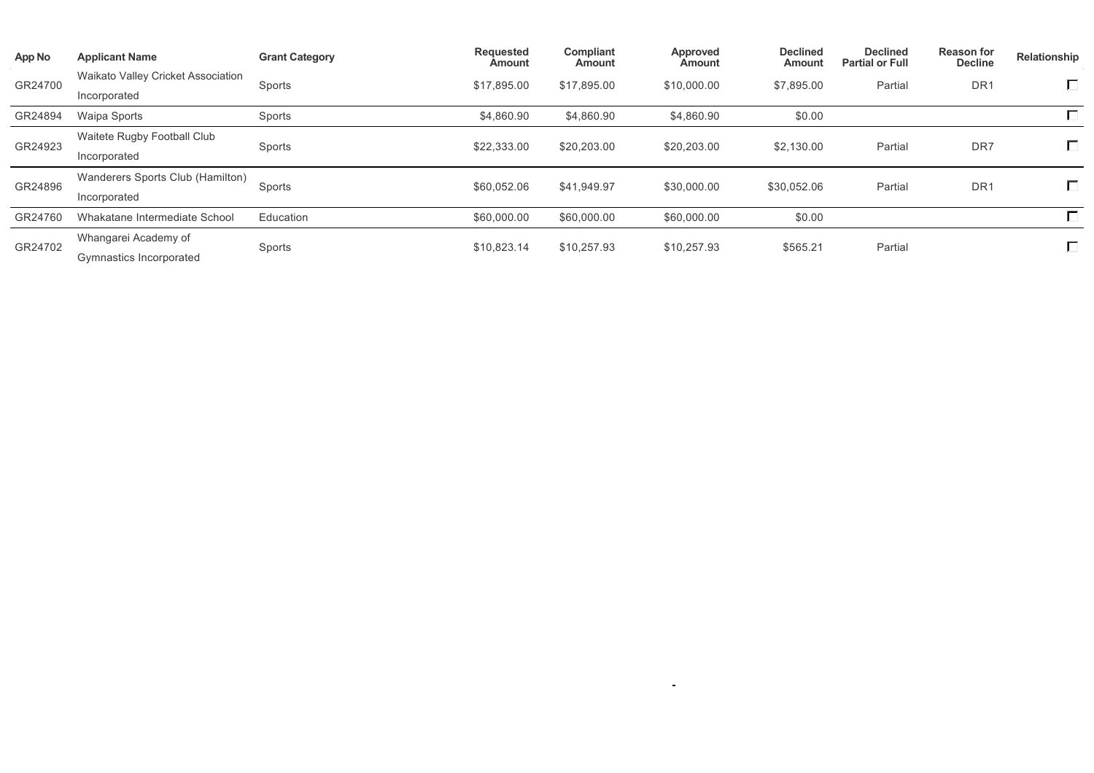| App No  | <b>Applicant Name</b>                     | <b>Grant Category</b> | <b>Requested</b><br>Amount | Compliant<br>Amount | Approved<br>Amount | <b>Declined</b><br>Amount | <b>Declined</b><br><b>Partial or Full</b> | <b>Reason for</b><br><b>Decline</b> | Relationship |
|---------|-------------------------------------------|-----------------------|----------------------------|---------------------|--------------------|---------------------------|-------------------------------------------|-------------------------------------|--------------|
| GR24700 | <b>Waikato Valley Cricket Association</b> | Sports                | \$17,895.00                | \$17,895.00         | \$10,000.00        | \$7,895.00                | Partial                                   | DR <sub>1</sub>                     | न ।          |
|         | Incorporated                              |                       |                            |                     |                    |                           |                                           |                                     |              |
| GR24894 | Waipa Sports                              | Sports                | \$4,860.90                 | \$4,860.90          | \$4,860.90         | \$0.00                    |                                           |                                     |              |
| GR24923 | Waitete Rugby Football Club               | Sports                | \$22,333.00                | \$20,203.00         | \$20,203.00        | \$2,130.00                | Partial                                   | DR7                                 |              |
|         | Incorporated                              |                       |                            |                     |                    |                           |                                           |                                     |              |
| GR24896 | Wanderers Sports Club (Hamilton)          | Sports                | \$60,052.06                | \$41,949.97         | \$30,000.00        | \$30,052.06               | Partial                                   | DR <sub>1</sub>                     | ヮ            |
|         | Incorporated                              |                       |                            |                     |                    |                           |                                           |                                     |              |
| GR24760 | Whakatane Intermediate School             | Education             | \$60,000.00                | \$60,000.00         | \$60,000.00        | \$0.00                    |                                           |                                     |              |
| GR24702 | Whangarei Academy of                      | Sports                | \$10,823.14                | \$10,257.93         | \$10,257.93        | \$565.21                  | Partial                                   |                                     | □            |
|         | Gymnastics Incorporated                   |                       |                            |                     |                    |                           |                                           |                                     |              |

the control of the state of the control of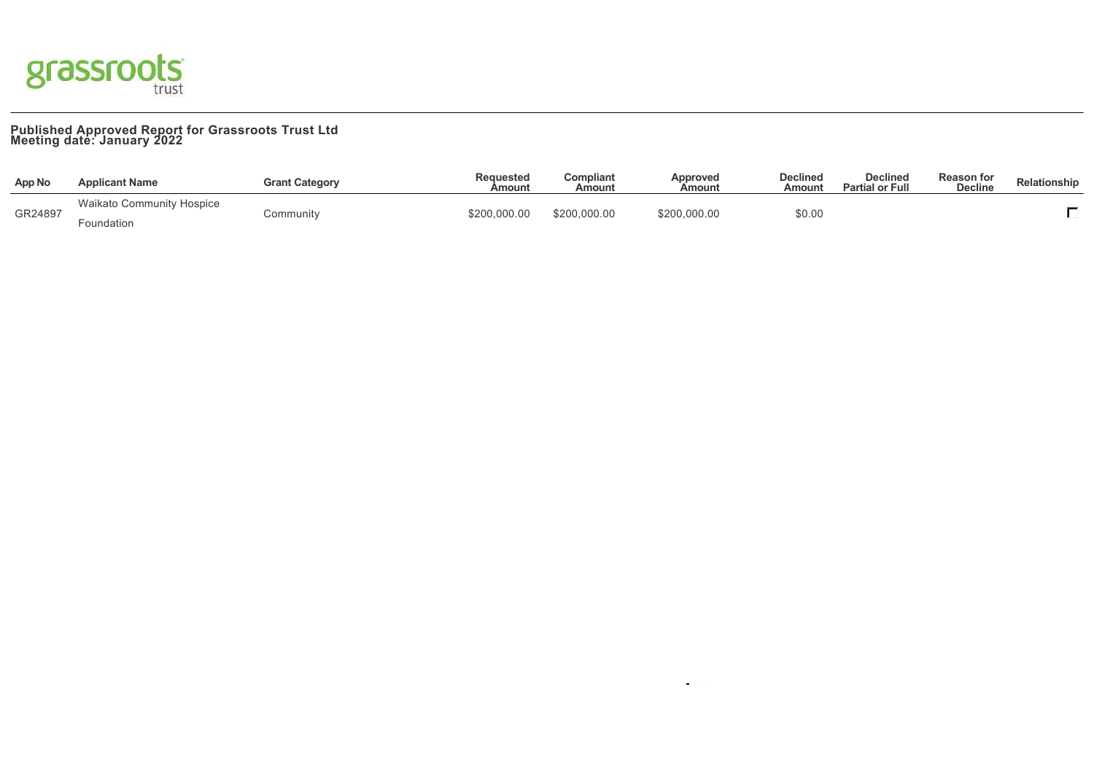

## **Published Approved Report for Grassroots Trust Ltd Meeting date: January 2022**

| <b>App No</b> | <b>Applicant Name</b>            | <b>Grant Category</b> | Requested<br>Amount | Compliant<br>Amount | Approved<br>Amount | <b>Declined</b><br>Amount | <b>Declined</b><br><b>Partial or Full</b> | <b>Reason for</b><br><b>Decline</b> | Relationship |
|---------------|----------------------------------|-----------------------|---------------------|---------------------|--------------------|---------------------------|-------------------------------------------|-------------------------------------|--------------|
| GR24897       | <b>Waikato Community Hospice</b> |                       | \$200,000.00        | \$200,000.00        | \$200,000.00       | \$0.00                    |                                           |                                     |              |
|               | Foundation                       | こommunity             |                     |                     |                    |                           |                                           |                                     |              |

 $\bar{\mathbf{u}}$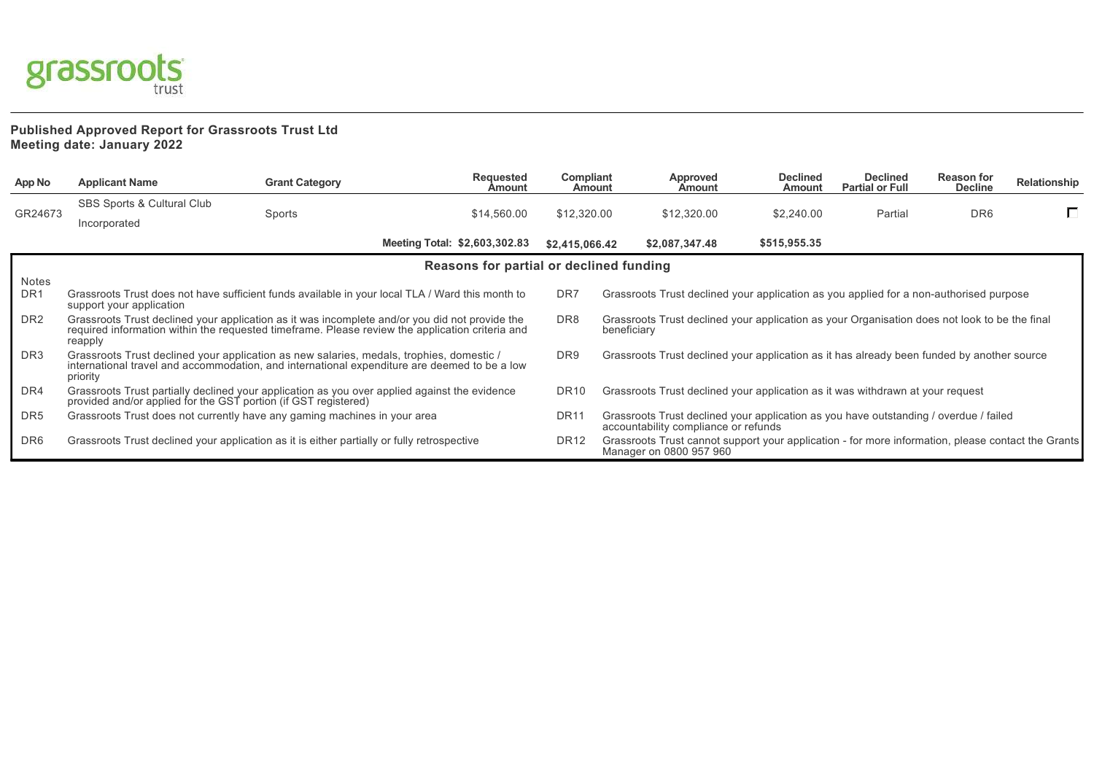

## **Published Approved Report for Grassroots Trust Ltd Meeting date: January 2022**

| App No          | <b>Applicant Name</b>                                                                                                                                                                                        | <b>Grant Category</b> | <b>Requested</b><br><b>Amount</b>       | Compliant<br><b>Amount</b>                                                                                                                        | Approved<br>Amount                                                                                                            | <b>Declined</b><br>Amount | <b>Declined</b><br><b>Partial or Full</b> | <b>Reason for</b><br><b>Decline</b> | Relationship |
|-----------------|--------------------------------------------------------------------------------------------------------------------------------------------------------------------------------------------------------------|-----------------------|-----------------------------------------|---------------------------------------------------------------------------------------------------------------------------------------------------|-------------------------------------------------------------------------------------------------------------------------------|---------------------------|-------------------------------------------|-------------------------------------|--------------|
|                 | <b>SBS Sports &amp; Cultural Club</b>                                                                                                                                                                        |                       |                                         |                                                                                                                                                   |                                                                                                                               |                           |                                           |                                     |              |
| GR24673         | Incorporated                                                                                                                                                                                                 | Sports                | \$14,560.00                             | \$12,320.00                                                                                                                                       | \$12,320.00                                                                                                                   | \$2,240.00                | Partial                                   | DR <sub>6</sub>                     | П.           |
|                 |                                                                                                                                                                                                              |                       | Meeting Total: \$2,603,302.83           | \$2,415,066.42                                                                                                                                    | \$2,087,347.48                                                                                                                | \$515,955.35              |                                           |                                     |              |
|                 |                                                                                                                                                                                                              |                       | Reasons for partial or declined funding |                                                                                                                                                   |                                                                                                                               |                           |                                           |                                     |              |
| Notes           |                                                                                                                                                                                                              |                       |                                         |                                                                                                                                                   |                                                                                                                               |                           |                                           |                                     |              |
| DR <sub>1</sub> | Grassroots Trust does not have sufficient funds available in your local TLA / Ward this month to<br>support your application                                                                                 |                       |                                         | DR <sub>7</sub>                                                                                                                                   | Grassroots Trust declined your application as you applied for a non-authorised purpose                                        |                           |                                           |                                     |              |
| DR <sub>2</sub> | Grassroots Trust declined your application as it was incomplete and/or you did not provide the<br>required information within the requested timeframe. Please review the application criteria and<br>reapply |                       |                                         | DR <sub>8</sub>                                                                                                                                   | Grassroots Trust declined your application as your Organisation does not look to be the final<br>beneficiary                  |                           |                                           |                                     |              |
| DR3             | Grassroots Trust declined your application as new salaries, medals, trophies, domestic /<br>international travel and accommodation, and international expenditure are deemed to be a low<br>priority         |                       |                                         |                                                                                                                                                   | Grassroots Trust declined your application as it has already been funded by another source                                    |                           |                                           |                                     |              |
| DR4             | Grassroots Trust partially declined your application as you over applied against the evidence provided and/or applied for the GST portion (if GST registered)                                                |                       |                                         |                                                                                                                                                   | Grassroots Trust declined your application as it was withdrawn at your request                                                |                           |                                           |                                     |              |
| DR <sub>5</sub> | Grassroots Trust does not currently have any gaming machines in your area                                                                                                                                    |                       |                                         | DR <sub>11</sub><br>Grassroots Trust declined your application as you have outstanding / overdue / failed<br>accountability compliance or refunds |                                                                                                                               |                           |                                           |                                     |              |
| DR6             | Grassroots Trust declined your application as it is either partially or fully retrospective                                                                                                                  |                       |                                         | DR <sub>12</sub>                                                                                                                                  | Grassroots Trust cannot support your application - for more information, please contact the Grants<br>Manager on 0800 957 960 |                           |                                           |                                     |              |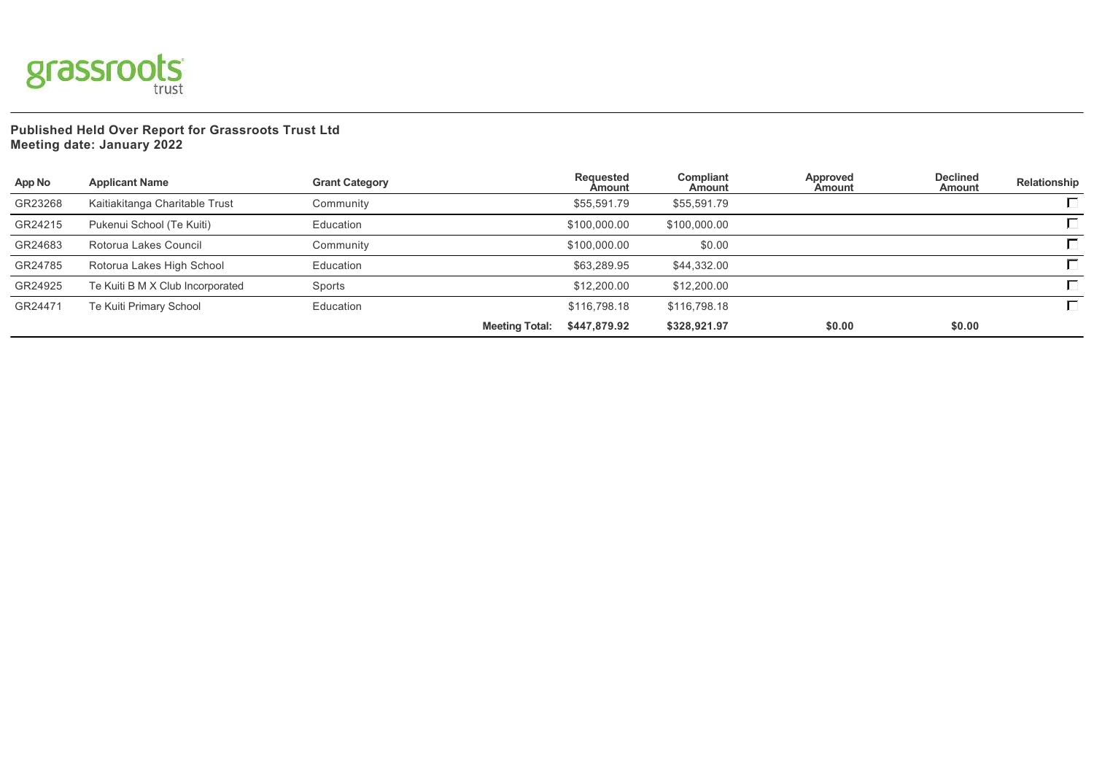

**Published Held Over Report for Grassroots Trust Ltd Meeting date: January 2022**

| App No  | <b>Applicant Name</b>            | <b>Grant Category</b> | Requested<br>Amount                   | Compliant<br>Amount | Approved<br>Amount | <b>Declined</b><br>Amount | Relationship |
|---------|----------------------------------|-----------------------|---------------------------------------|---------------------|--------------------|---------------------------|--------------|
| GR23268 | Kaitiakitanga Charitable Trust   | Community             | \$55.591.79                           | \$55,591.79         |                    |                           |              |
| GR24215 | Pukenui School (Te Kuiti)        | Education             | \$100,000.00                          | \$100,000.00        |                    |                           |              |
| GR24683 | Rotorua Lakes Council            | Community             | \$100,000.00                          | \$0.00              |                    |                           |              |
| GR24785 | Rotorua Lakes High School        | Education             | \$63,289.95                           | \$44,332.00         |                    |                           |              |
| GR24925 | Te Kuiti B M X Club Incorporated | Sports                | \$12,200.00                           | \$12,200.00         |                    |                           |              |
| GR24471 | Te Kuiti Primary School          | Education             | \$116,798.18                          | \$116,798.18        |                    |                           |              |
|         |                                  |                       | \$447,879.92<br><b>Meeting Total:</b> | \$328,921.97        | \$0.00             | \$0.00                    |              |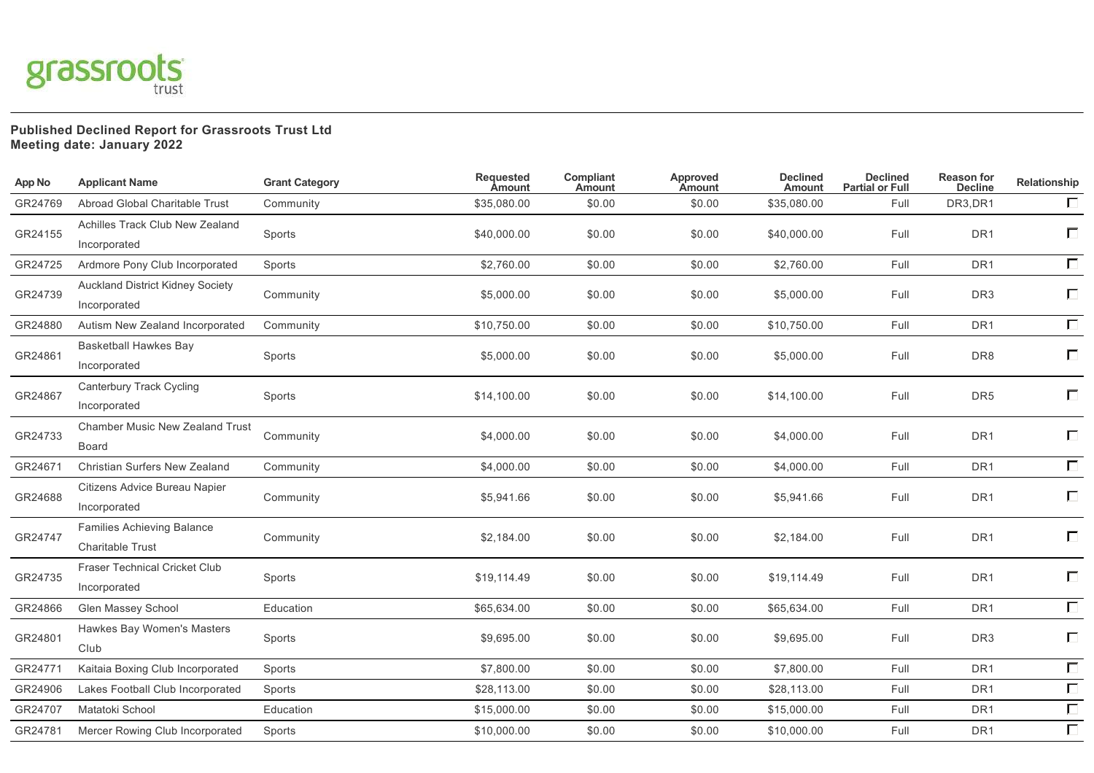

## **Published Declined Report for Grassroots Trust Ltd Meeting date: January 2022**

| App No  | <b>Applicant Name</b>                                        | <b>Grant Category</b> | <b>Requested</b><br><b>Amount</b> | <b>Compliant</b><br><b>Amount</b> | Approved<br>Amount | <b>Declined</b><br>Amount | <b>Declined</b><br><b>Partial or Full</b> | <b>Reason for</b><br><b>Decline</b> | Relationship |
|---------|--------------------------------------------------------------|-----------------------|-----------------------------------|-----------------------------------|--------------------|---------------------------|-------------------------------------------|-------------------------------------|--------------|
| GR24769 | Abroad Global Charitable Trust                               | Community             | \$35,080.00                       | \$0.00                            | \$0.00             | \$35,080.00               | Full                                      | DR3,DR1                             | $\Box$       |
| GR24155 | Achilles Track Club New Zealand<br>Incorporated              | Sports                | \$40,000.00                       | \$0.00                            | \$0.00             | \$40,000.00               | Full                                      | DR <sub>1</sub>                     | П            |
| GR24725 | Ardmore Pony Club Incorporated                               | Sports                | \$2,760.00                        | \$0.00                            | \$0.00             | \$2,760.00                | Full                                      | DR <sub>1</sub>                     | $\Box$       |
| GR24739 | <b>Auckland District Kidney Society</b><br>Incorporated      | Community             | \$5,000.00                        | \$0.00                            | \$0.00             | \$5,000.00                | Full                                      | DR <sub>3</sub>                     | П            |
| GR24880 | Autism New Zealand Incorporated                              | Community             | \$10,750.00                       | \$0.00                            | \$0.00             | \$10,750.00               | Full                                      | DR <sub>1</sub>                     | $\Box$       |
| GR24861 | <b>Basketball Hawkes Bay</b><br>Incorporated                 | Sports                | \$5,000.00                        | \$0.00                            | \$0.00             | \$5,000.00                | Full                                      | DR8                                 | $\Box$       |
| GR24867 | Canterbury Track Cycling<br>Incorporated                     | Sports                | \$14,100.00                       | \$0.00                            | \$0.00             | \$14,100.00               | Full                                      | DR <sub>5</sub>                     | П            |
| GR24733 | Chamber Music New Zealand Trust<br><b>Board</b>              | Community             | \$4,000.00                        | \$0.00                            | \$0.00             | \$4,000.00                | Full                                      | DR <sub>1</sub>                     | П            |
| GR24671 | Christian Surfers New Zealand                                | Community             | \$4,000.00                        | \$0.00                            | \$0.00             | \$4,000.00                | Full                                      | DR <sub>1</sub>                     | $\Box$       |
| GR24688 | Citizens Advice Bureau Napier<br>Incorporated                | Community             | \$5,941.66                        | \$0.00                            | \$0.00             | \$5,941.66                | Full                                      | DR <sub>1</sub>                     | $\Box$       |
| GR24747 | <b>Families Achieving Balance</b><br><b>Charitable Trust</b> | Community             | \$2,184.00                        | \$0.00                            | \$0.00             | \$2,184.00                | Full                                      | DR <sub>1</sub>                     | $\Box$       |
| GR24735 | Fraser Technical Cricket Club<br>Incorporated                | Sports                | \$19,114.49                       | \$0.00                            | \$0.00             | \$19,114.49               | Full                                      | DR <sub>1</sub>                     | П            |
| GR24866 | Glen Massey School                                           | Education             | \$65,634.00                       | \$0.00                            | \$0.00             | \$65,634.00               | Full                                      | DR <sub>1</sub>                     | $\Box$       |
| GR24801 | Hawkes Bay Women's Masters<br>Club                           | Sports                | \$9,695.00                        | \$0.00                            | \$0.00             | \$9,695.00                | Full                                      | DR <sub>3</sub>                     | $\Box$       |
| GR24771 | Kaitaia Boxing Club Incorporated                             | Sports                | \$7,800.00                        | \$0.00                            | \$0.00             | \$7,800.00                | Full                                      | DR <sub>1</sub>                     | $\Box$       |
| GR24906 | Lakes Football Club Incorporated                             | Sports                | \$28,113.00                       | \$0.00                            | \$0.00             | \$28,113.00               | Full                                      | DR <sub>1</sub>                     | $\Box$       |
| GR24707 | Matatoki School                                              | Education             | \$15,000.00                       | \$0.00                            | \$0.00             | \$15,000.00               | Full                                      | DR <sub>1</sub>                     | $\Box$       |
| GR24781 | Mercer Rowing Club Incorporated                              | Sports                | \$10,000.00                       | \$0.00                            | \$0.00             | \$10,000.00               | Full                                      | DR <sub>1</sub>                     | $\Box$       |
|         |                                                              |                       |                                   |                                   |                    |                           |                                           |                                     |              |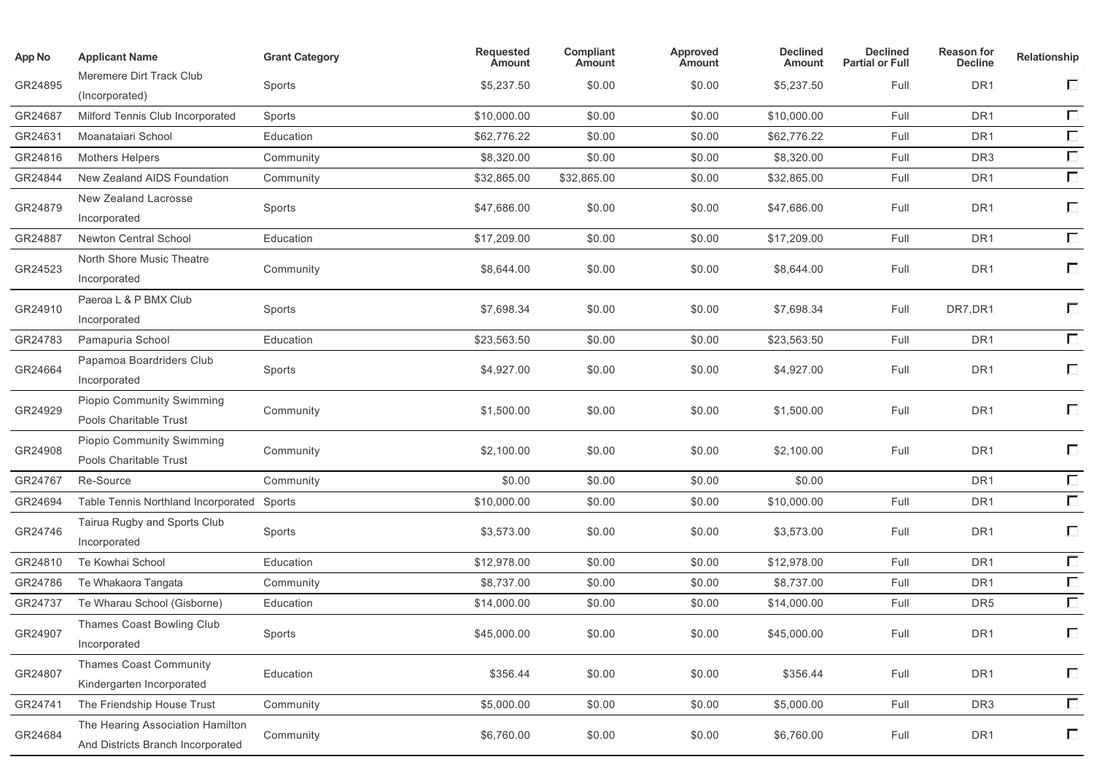| App No  | <b>Applicant Name</b>                                                 | <b>Grant Category</b> | Requested<br>Amount | Compliant<br>Amount | Approved<br>Amount | <b>Declined</b><br>Amount | <b>Declined</b><br><b>Partial or Full</b> | <b>Reason for</b><br><b>Decline</b> | Relationship      |
|---------|-----------------------------------------------------------------------|-----------------------|---------------------|---------------------|--------------------|---------------------------|-------------------------------------------|-------------------------------------|-------------------|
| GR24895 | Meremere Dirt Track Club<br>(Incorporated)                            | Sports                | \$5,237.50          | \$0.00              | \$0.00             | \$5,237.50                | Full                                      | DR <sub>1</sub>                     | $\Box$            |
| GR24687 | Milford Tennis Club Incorporated                                      | Sports                | \$10,000.00         | \$0.00              | \$0.00             | \$10,000.00               | Full                                      | DR <sub>1</sub>                     | $\Box$            |
| GR24631 | Moanataiari School                                                    | Education             | \$62,776.22         | \$0.00              | \$0.00             | \$62,776.22               | Full                                      | DR <sub>1</sub>                     | $\Box$            |
| GR24816 | <b>Mothers Helpers</b>                                                | Community             | \$8,320.00          | \$0.00              | \$0.00             | \$8,320.00                | Full                                      | DR <sub>3</sub>                     | $\overline{\Box}$ |
| GR24844 | New Zealand AIDS Foundation                                           | Community             | \$32,865.00         | \$32,865.00         | \$0.00             | \$32,865.00               | Full                                      | DR <sub>1</sub>                     | $\Box$            |
| GR24879 | New Zealand Lacrosse<br>Incorporated                                  | Sports                | \$47,686.00         | \$0.00              | \$0.00             | \$47,686.00               | Full                                      | DR <sub>1</sub>                     | $\Box$            |
| GR24887 | <b>Newton Central School</b>                                          | Education             | \$17,209.00         | \$0.00              | \$0.00             | \$17,209.00               | Full                                      | DR <sub>1</sub>                     | $\Box$            |
| GR24523 | North Shore Music Theatre<br>Incorporated                             | Community             | \$8,644.00          | \$0.00              | \$0.00             | \$8,644.00                | Full                                      | DR <sub>1</sub>                     | $\Box$            |
| GR24910 | Paeroa L & P BMX Club<br>Incorporated                                 | Sports                | \$7,698.34          | \$0.00              | \$0.00             | \$7,698.34                | Full                                      | DR7, DR1                            | $\Box$            |
| GR24783 | Pamapuria School                                                      | Education             | \$23,563.50         | \$0.00              | \$0.00             | \$23,563.50               | Full                                      | DR <sub>1</sub>                     | $\Box$            |
| GR24664 | Papamoa Boardriders Club<br>Incorporated                              | Sports                | \$4,927.00          | \$0.00              | \$0.00             | \$4,927.00                | Full                                      | DR <sub>1</sub>                     | $\Box$            |
| GR24929 | <b>Piopio Community Swimming</b><br>Pools Charitable Trust            | Community             | \$1,500.00          | \$0.00              | \$0.00             | \$1,500.00                | Full                                      | DR <sub>1</sub>                     | $\Box$            |
| GR24908 | <b>Piopio Community Swimming</b><br>Pools Charitable Trust            | Community             | \$2,100.00          | \$0.00              | \$0.00             | \$2,100.00                | Full                                      | DR <sub>1</sub>                     | $\Box$            |
| GR24767 | Re-Source                                                             | Community             | \$0.00              | \$0.00              | \$0.00             | \$0.00                    |                                           | DR <sub>1</sub>                     | $\Box$            |
| GR24694 | Table Tennis Northland Incorporated Sports                            |                       | \$10,000.00         | \$0.00              | \$0.00             | \$10,000.00               | Full                                      | DR <sub>1</sub>                     | $\Box$            |
| GR24746 | Tairua Rugby and Sports Club<br>Incorporated                          | Sports                | \$3,573.00          | \$0.00              | \$0.00             | \$3,573.00                | Full                                      | DR <sub>1</sub>                     | $\Box$            |
| GR24810 | Te Kowhai School                                                      | Education             | \$12,978.00         | \$0.00              | \$0.00             | \$12,978.00               | Full                                      | DR <sub>1</sub>                     | $\Box$            |
| GR24786 | Te Whakaora Tangata                                                   | Community             | \$8,737.00          | \$0.00              | \$0.00             | \$8,737.00                | Full                                      | DR <sub>1</sub>                     | $\Box$            |
| GR24737 | Te Wharau School (Gisborne)                                           | Education             | \$14,000.00         | \$0.00              | \$0.00             | \$14,000.00               | Full                                      | DR <sub>5</sub>                     | $\overline{\Box}$ |
| GR24907 | Thames Coast Bowling Club<br>Incorporated                             | Sports                | \$45,000.00         | \$0.00              | \$0.00             | \$45,000.00               | Full                                      | DR1                                 | $\Box$            |
| GR24807 | <b>Thames Coast Community</b><br>Kindergarten Incorporated            | Education             | \$356.44            | \$0.00              | \$0.00             | \$356.44                  | Full                                      | DR <sub>1</sub>                     | $\Box$            |
| GR24741 | The Friendship House Trust                                            | Community             | \$5,000.00          | \$0.00              | \$0.00             | \$5,000.00                | Full                                      | DR <sub>3</sub>                     | $\Box$            |
| GR24684 | The Hearing Association Hamilton<br>And Districts Branch Incorporated | Community             | \$6,760.00          | \$0.00              | \$0.00             | \$6,760.00                | Full                                      | DR <sub>1</sub>                     | $\Box$            |